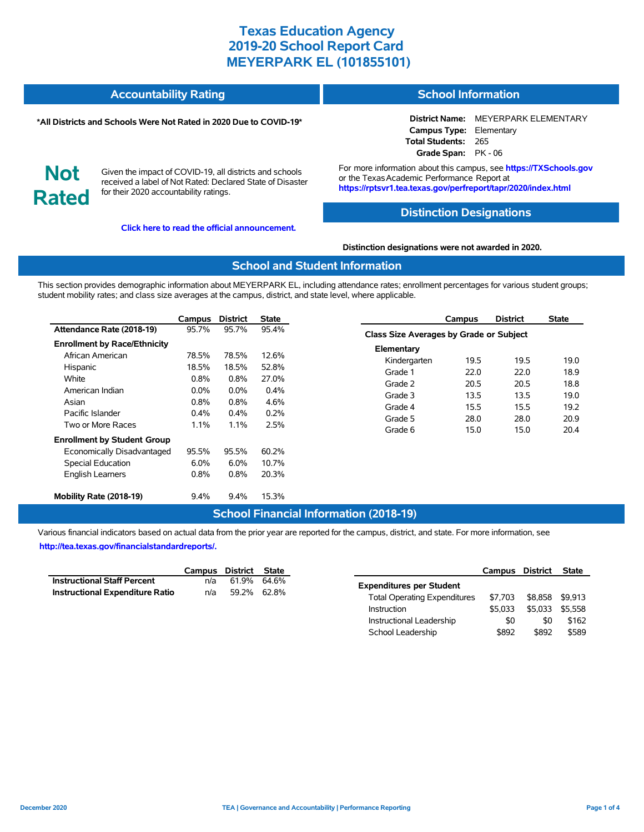| <b>Accountability Rating</b> | <b>School Information</b> |
|------------------------------|---------------------------|
|                              |                           |

#### **\*All Districts and Schools Were Not Rated in 2020 Due to COVID-19\***

#### **District Name:** MEYERPARK ELEMENTARY **Campus Type:** Elementary **Total Students:** 265 **Grade Span:** PK - 06

**Not Rated**

Given the impact of COVID-19, all districts and schools received a label of Not Rated: Declared State of Disaster for their 2020 accountability ratings.

**[Click here to read the official announcement.](https://tea.texas.gov/about-tea/news-and-multimedia/correspondence/taa-letters/every-student-succeeds-act-essa-waiver-approval-2020-state-academic-accountability)**

For more information about this campus, see **https://TXSchools.gov** or the Texas Academic Performance Report at **https://rptsvr1.tea.texas.gov/perfreport/tapr/2020/index.html**

#### **Distinction Designations**

**Distinction designations were not awarded in 2020.**

#### **School and Student Information**

This section provides demographic information about MEYERPARK EL, including attendance rates; enrollment percentages for various student groups; student mobility rates; and class size averages at the campus, district, and state level, where applicable.

|                                     | Campus  | <b>District</b> | State   |
|-------------------------------------|---------|-----------------|---------|
| Attendance Rate (2018-19)           | 95.7%   | 95.7%           | 95.4%   |
| <b>Enrollment by Race/Ethnicity</b> |         |                 |         |
| African American                    | 78.5%   | 78.5%           | 12.6%   |
| Hispanic                            | 18.5%   | 18.5%           | 52.8%   |
| White                               | $0.8\%$ | $0.8\%$         | 27.0%   |
| American Indian                     | $0.0\%$ | $0.0\%$         | $0.4\%$ |
| Asian                               | $0.8\%$ | $0.8\%$         | 4.6%    |
| Pacific Islander                    | $0.4\%$ | $0.4\%$         | $0.2\%$ |
| Two or More Races                   | 1.1%    | 1.1%            | 2.5%    |
| <b>Enrollment by Student Group</b>  |         |                 |         |
| Economically Disadvantaged          | 95.5%   | 95.5%           | 60.2%   |
| <b>Special Education</b>            | 6.0%    | 6.0%            | 10.7%   |
| <b>English Learners</b>             | 0.8%    | $0.8\%$         | 20.3%   |
| Mobility Rate (2018-19)             | $9.4\%$ | $9.4\%$         | 15.3%   |

|                                         | Campus | <b>District</b> | <b>State</b> |  |  |  |  |  |  |
|-----------------------------------------|--------|-----------------|--------------|--|--|--|--|--|--|
| Class Size Averages by Grade or Subject |        |                 |              |  |  |  |  |  |  |
| Elementary                              |        |                 |              |  |  |  |  |  |  |
| Kindergarten                            | 19.5   | 19.5            | 19.0         |  |  |  |  |  |  |
| Grade 1                                 | 22.0   | 22.0            | 18.9         |  |  |  |  |  |  |
| Grade 2                                 | 20.5   | 20.5            | 18.8         |  |  |  |  |  |  |
| Grade 3                                 | 13.5   | 13.5            | 19.0         |  |  |  |  |  |  |
| Grade 4                                 | 15.5   | 15.5            | 19.2         |  |  |  |  |  |  |
| Grade 5                                 | 28.0   | 28.0            | 20.9         |  |  |  |  |  |  |
| Grade 6                                 | 15.0   | 15.0            | 20.4         |  |  |  |  |  |  |

### **School Financial Information (2018-19)**

Various financial indicators based on actual data from the prior year are reported for the campus, district, and state. For more information, see **[http://tea.texas.gov/financialstandardreports/.](http://tea.texas.gov/financialstandardreports/)**

|                                        | Campus District State |             |  |
|----------------------------------------|-----------------------|-------------|--|
| <b>Instructional Staff Percent</b>     | n/a                   | 61.9% 64.6% |  |
| <b>Instructional Expenditure Ratio</b> | n/a                   | 59.2% 62.8% |  |

|                                     | Campus District |         | <b>State</b> |
|-------------------------------------|-----------------|---------|--------------|
| <b>Expenditures per Student</b>     |                 |         |              |
| <b>Total Operating Expenditures</b> | \$7.703         | \$8.858 | \$9.913      |
| Instruction                         | \$5.033         | \$5.033 | \$5.558      |
| Instructional Leadership            | \$0             | \$0     | \$162        |
| School Leadership                   | \$892           | \$892   | \$589        |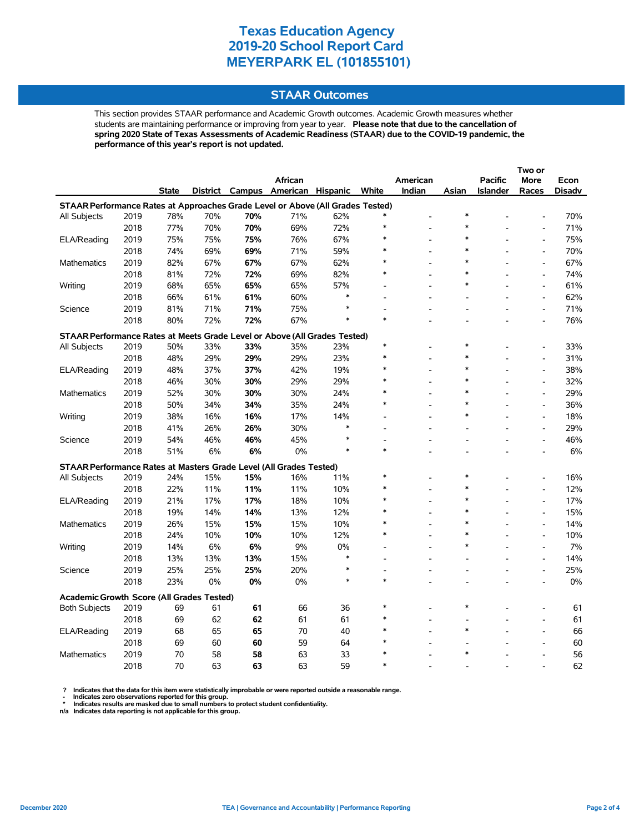### **STAAR Outcomes**

This section provides STAAR performance and Academic Growth outcomes. Academic Growth measures whether students are maintaining performance or improving from year to year. **Please note that due to the cancellation of spring 2020 State of Texas Assessments of Academic Readiness (STAAR) due to the COVID-19 pandemic, the performance of this year's report is not updated.**

|                                                                                |              |              |            |            |                                   |            |        |          |        |                | Two or                       |            |
|--------------------------------------------------------------------------------|--------------|--------------|------------|------------|-----------------------------------|------------|--------|----------|--------|----------------|------------------------------|------------|
|                                                                                |              |              |            |            | African                           |            |        | American |        | <b>Pacific</b> | <b>More</b>                  | Econ       |
|                                                                                |              | <b>State</b> |            |            | District Campus American Hispanic |            | White  | Indian   | Asian  | Islander       | Races                        | Disadv     |
| STAAR Performance Rates at Approaches Grade Level or Above (All Grades Tested) |              |              |            |            |                                   |            |        |          |        |                |                              |            |
| All Subjects                                                                   | 2019         | 78%          | 70%        | 70%        | 71%                               | 62%        |        |          | *      |                |                              | 70%        |
|                                                                                | 2018         | 77%          | 70%        | 70%        | 69%                               | 72%        |        |          |        |                | $\qquad \qquad \blacksquare$ | 71%        |
| ELA/Reading                                                                    | 2019         | 75%          | 75%        | 75%        | 76%                               | 67%        |        |          | $\ast$ |                | $\overline{a}$               | 75%        |
|                                                                                | 2018         | 74%          | 69%        | 69%        | 71%                               | 59%        |        |          | $\ast$ |                | $\overline{a}$               | 70%        |
| <b>Mathematics</b>                                                             | 2019         | 82%          | 67%        | 67%        | 67%                               | 62%        |        |          | *      |                | $\qquad \qquad \blacksquare$ | 67%        |
|                                                                                | 2018         | 81%          | 72%        | 72%        | 69%                               | 82%        |        |          | $\ast$ |                | $\overline{a}$               | 74%        |
| Writing                                                                        | 2019         | 68%          | 65%        | 65%        | 65%                               | 57%        |        |          | *      |                | $\overline{a}$               | 61%        |
|                                                                                | 2018         | 66%          | 61%        | 61%        | 60%                               | $\ast$     |        |          |        |                | $\overline{a}$               | 62%        |
| Science                                                                        | 2019         | 81%          | 71%        | 71%        | 75%                               | *          |        |          |        |                | $\qquad \qquad \blacksquare$ | 71%        |
|                                                                                | 2018         | 80%          | 72%        | 72%        | 67%                               | $\ast$     | $\ast$ |          |        |                | Ĭ.                           | 76%        |
| STAAR Performance Rates at Meets Grade Level or Above (All Grades Tested)      |              |              |            |            |                                   |            |        |          |        |                |                              |            |
| All Subjects                                                                   | 2019         | 50%          | 33%        | 33%        | 35%                               | 23%        | $\ast$ |          | *      |                | $\overline{\phantom{a}}$     | 33%        |
|                                                                                | 2018         | 48%          | 29%        | 29%        | 29%                               | 23%        | $\ast$ |          | $\ast$ |                | $\overline{a}$               | 31%        |
| ELA/Reading                                                                    | 2019         | 48%          | 37%        | 37%        | 42%                               | 19%        |        |          | $\ast$ |                | $\overline{\phantom{a}}$     | 38%        |
|                                                                                | 2018         | 46%          | 30%        | 30%        | 29%                               | 29%        |        |          | $\ast$ |                | L,                           | 32%        |
| Mathematics                                                                    | 2019         | 52%          | 30%        | 30%        | 30%                               | 24%        |        |          | $\ast$ |                | $\overline{a}$               | 29%        |
|                                                                                | 2018         | 50%          | 34%        | 34%        | 35%                               | 24%        |        |          | $\ast$ |                | $\overline{\phantom{a}}$     | 36%        |
| Writing                                                                        | 2019         | 38%          | 16%        | 16%        | 17%                               | 14%        |        |          | $\ast$ |                | $\overline{a}$               | 18%        |
|                                                                                | 2018         | 41%          | 26%        | 26%        | 30%                               | $\ast$     |        |          |        |                | $\overline{a}$               | 29%        |
| Science                                                                        | 2019         | 54%          | 46%        | 46%        | 45%                               | $\ast$     |        |          |        |                | $\overline{a}$               | 46%        |
|                                                                                | 2018         | 51%          | 6%         | 6%         | 0%                                | $\ast$     | $\ast$ |          |        |                | $\overline{a}$               | 6%         |
|                                                                                |              |              |            |            |                                   |            |        |          |        |                |                              |            |
| STAAR Performance Rates at Masters Grade Level (All Grades Tested)             |              |              |            |            |                                   |            |        |          |        |                | $\overline{a}$               |            |
| All Subjects                                                                   | 2019<br>2018 | 24%<br>22%   | 15%        | 15%<br>11% | 16%<br>11%                        | 11%<br>10% |        |          | $\ast$ |                | $\overline{\phantom{a}}$     | 16%<br>12% |
|                                                                                |              | 21%          | 11%<br>17% | 17%        |                                   |            | $\ast$ |          | $\ast$ |                | $\overline{a}$               | 17%        |
| ELA/Reading                                                                    | 2019<br>2018 | 19%          |            | 14%        | 18%                               | 10%<br>12% |        |          | $\ast$ |                | $\overline{a}$               |            |
|                                                                                |              |              | 14%        |            | 13%                               |            |        |          | $\ast$ |                | $\overline{a}$               | 15%        |
| Mathematics                                                                    | 2019<br>2018 | 26%<br>24%   | 15%        | 15%        | 15%                               | 10%        |        |          |        |                | $\overline{a}$               | 14%<br>10% |
|                                                                                | 2019         | 14%          | 10%<br>6%  | 10%<br>6%  | 10%<br>9%                         | 12%<br>0%  |        |          | $\ast$ |                | $\overline{a}$               | 7%         |
| Writing                                                                        |              |              | 13%        | 13%        |                                   | $\ast$     |        |          |        |                |                              | 14%        |
|                                                                                | 2018         | 13%          |            | 25%        | 15%                               | *          |        |          |        |                | $\qquad \qquad \blacksquare$ |            |
| Science                                                                        | 2019         | 25%          | 25%        |            | 20%                               | $\ast$     | $\ast$ |          |        |                | $\overline{\phantom{a}}$     | 25%<br>0%  |
|                                                                                | 2018         | 23%          | 0%         | 0%         | 0%                                |            |        |          |        |                | $\overline{\phantom{a}}$     |            |
| <b>Academic Growth Score (All Grades Tested)</b>                               |              |              |            |            |                                   |            |        |          |        |                |                              |            |
| <b>Both Subjects</b>                                                           | 2019         | 69           | 61         | 61         | 66                                | 36         |        |          | $\ast$ |                |                              | 61         |
|                                                                                | 2018         | 69           | 62         | 62         | 61                                | 61         |        |          |        |                | $\overline{a}$               | 61         |
| ELA/Reading                                                                    | 2019         | 68           | 65         | 65         | 70                                | 40         |        |          | $\ast$ |                | $\overline{a}$               | 66         |
|                                                                                | 2018         | 69           | 60         | 60         | 59                                | 64         |        |          |        |                |                              | 60         |
| <b>Mathematics</b>                                                             | 2019         | 70           | 58         | 58         | 63                                | 33         |        |          | $\ast$ |                |                              | 56         |
|                                                                                | 2018         | 70           | 63         | 63         | 63                                | 59         |        |          |        |                |                              | 62         |

? Indicates that the data for this item were statistically improbable or were reported outside a reasonable range.<br>- Indicates zero observations reported for this group.<br>\* Indicates results are masked due to small numbers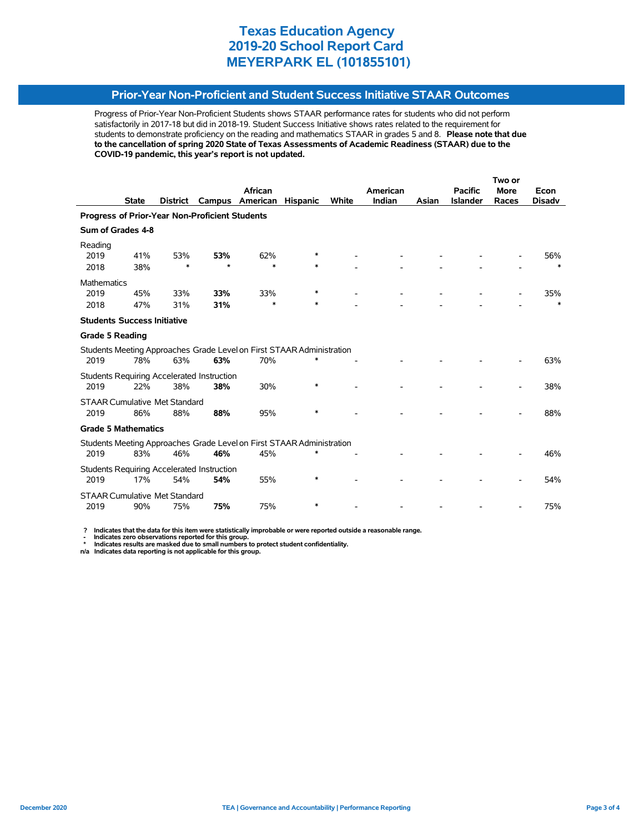## **Prior-Year Non-Proficient and Student Success Initiative STAAR Outcomes**

Progress of Prior-Year Non-Proficient Students shows STAAR performance rates for students who did not perform satisfactorily in 2017-18 but did in 2018-19. Student Success Initiative shows rates related to the requirement for students to demonstrate proficiency on the reading and mathematics STAAR in grades 5 and 8. **Please note that due to the cancellation of spring 2020 State of Texas Assessments of Academic Readiness (STAAR) due to the COVID-19 pandemic, this year's report is not updated.**

|                                                |              |                 |                                                   |                                                                       | Two or          |       |          |       |                 |             |               |
|------------------------------------------------|--------------|-----------------|---------------------------------------------------|-----------------------------------------------------------------------|-----------------|-------|----------|-------|-----------------|-------------|---------------|
|                                                |              |                 |                                                   | African                                                               |                 |       | American |       | <b>Pacific</b>  | <b>More</b> | Econ          |
|                                                | <b>State</b> | <b>District</b> | Campus                                            | American                                                              | <b>Hispanic</b> | White | Indian   | Asian | <b>Islander</b> | Races       | <b>Disadv</b> |
| Progress of Prior-Year Non-Proficient Students |              |                 |                                                   |                                                                       |                 |       |          |       |                 |             |               |
| Sum of Grades 4-8                              |              |                 |                                                   |                                                                       |                 |       |          |       |                 |             |               |
| Reading                                        |              |                 |                                                   |                                                                       |                 |       |          |       |                 |             |               |
| 2019                                           | 41%          | 53%             | 53%                                               | 62%                                                                   | ∗               |       |          |       |                 |             | 56%           |
| 2018                                           | 38%          | $\ast$          | $\star$                                           | $\ast$                                                                | $\ast$          |       |          |       |                 |             | $\ast$        |
| <b>Mathematics</b>                             |              |                 |                                                   |                                                                       |                 |       |          |       |                 |             |               |
| 2019                                           | 45%          | 33%             | 33%                                               | 33%                                                                   | *               |       |          |       |                 |             | 35%           |
| 2018                                           | 47%          | 31%             | 31%                                               | $\ast$                                                                | *               |       |          |       |                 |             | $\ast$        |
| <b>Students Success Initiative</b>             |              |                 |                                                   |                                                                       |                 |       |          |       |                 |             |               |
| <b>Grade 5 Reading</b>                         |              |                 |                                                   |                                                                       |                 |       |          |       |                 |             |               |
|                                                |              |                 |                                                   | Students Meeting Approaches Grade Level on First STAAR Administration |                 |       |          |       |                 |             |               |
| 2019                                           | 78%          | 63%             | 63%                                               | 70%                                                                   | $\ast$          |       |          |       |                 |             | 63%           |
|                                                |              |                 | <b>Students Requiring Accelerated Instruction</b> |                                                                       |                 |       |          |       |                 |             |               |
| 2019                                           | 22%          | 38%             | 38%                                               | 30%                                                                   | $\ast$          |       |          |       |                 |             | 38%           |
| <b>STAAR Cumulative Met Standard</b>           |              |                 |                                                   |                                                                       |                 |       |          |       |                 |             |               |
| 2019                                           | 86%          | 88%             | 88%                                               | 95%                                                                   |                 |       |          |       |                 |             | 88%           |
| <b>Grade 5 Mathematics</b>                     |              |                 |                                                   |                                                                       |                 |       |          |       |                 |             |               |
|                                                |              |                 |                                                   | Students Meeting Approaches Grade Level on First STAAR Administration |                 |       |          |       |                 |             |               |
| 2019                                           | 83%          | 46%             | 46%                                               | 45%                                                                   |                 |       |          |       |                 |             | 46%           |
|                                                |              |                 | Students Requiring Accelerated Instruction        |                                                                       |                 |       |          |       |                 |             |               |
| 2019                                           | 17%          | 54%             | 54%                                               | 55%                                                                   | $\ast$          |       |          |       |                 |             | 54%           |
| <b>STAAR Cumulative Met Standard</b>           |              |                 |                                                   |                                                                       |                 |       |          |       |                 |             |               |
| 2019                                           | 90%          | 75%             | 75%                                               | 75%                                                                   | *               |       |          |       |                 |             | 75%           |

 **? Indicates that the data for this item were statistically improbable or were reported outside a reasonable range.**

 **- Indicates zero observations reported for this group. \* Indicates results are masked due to small numbers to protect student confidentiality.**

**n/a Indicates data reporting is not applicable for this group.**